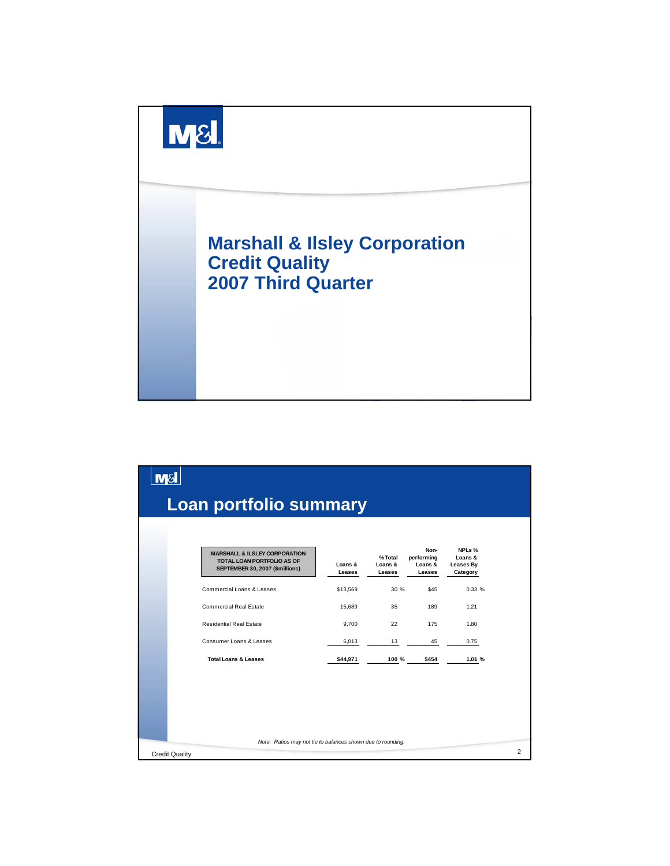

| <b>M&amp;</b>         |                                                                                                                  |                   |                                    |                                         |                                            |                |
|-----------------------|------------------------------------------------------------------------------------------------------------------|-------------------|------------------------------------|-----------------------------------------|--------------------------------------------|----------------|
|                       | <b>Loan portfolio summary</b>                                                                                    |                   |                                    |                                         |                                            |                |
|                       | <b>MARSHALL &amp; ILSLEY CORPORATION</b><br><b>TOTAL LOAN PORTFOLIO AS OF</b><br>SEPTEMBER 30, 2007 (\$millions) | Loans &<br>Leases | %Total<br>Loans &<br><b>Leases</b> | Non-<br>performing<br>Loans &<br>Leases | NPLs %<br>Loans &<br>Leases By<br>Category |                |
|                       | Commercial Loans & Leases                                                                                        | \$13,569          | 30 %                               | \$45                                    | 0.33%                                      |                |
|                       | Commercial Real Estate                                                                                           | 15,689            | 35                                 | 189                                     | 1.21                                       |                |
|                       | <b>Residential Real Estate</b>                                                                                   | 9.700             | 22                                 | 175                                     | 1.80                                       |                |
|                       | Consumer Loans & Leases                                                                                          | 6,013             | 13                                 | 45                                      | 0.75                                       |                |
|                       | <b>Total Loans &amp; Leases</b>                                                                                  | \$44,971          | 100 %                              | \$454                                   | 1.01 %                                     |                |
|                       | Note: Ratios may not tie to balances shown due to rounding.                                                      |                   |                                    |                                         |                                            |                |
| <b>Credit Quality</b> |                                                                                                                  |                   |                                    |                                         |                                            | $\overline{2}$ |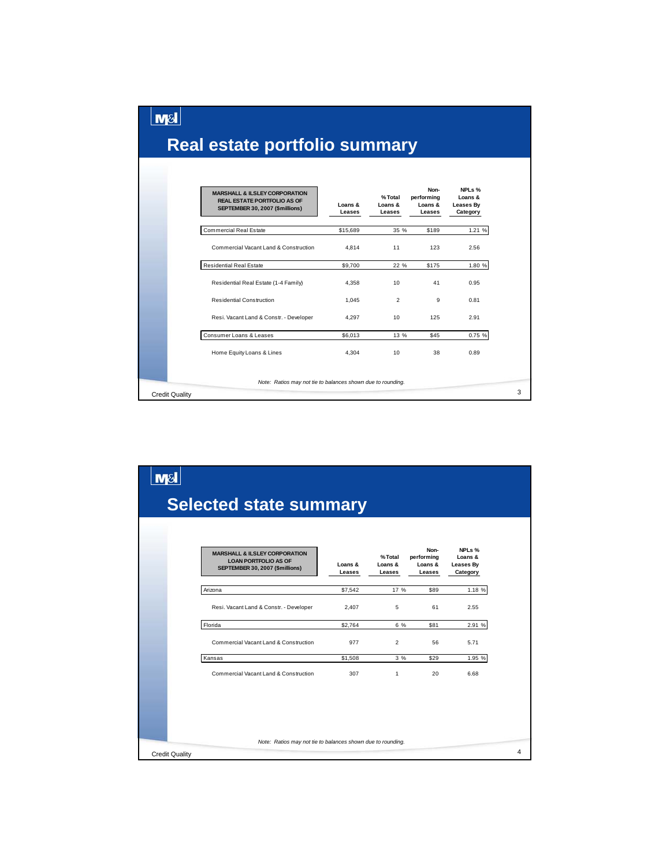$\lfloor$ m $\mathsf{s}\rfloor$ 

|                       | <b>MARSHALL &amp; ILSLEY CORPORATION</b><br><b>REAL ESTATE PORTFOLIO AS OF</b><br>SEPTEMBER 30, 2007 (\$millions) | Loans &<br>Leases | %Total<br>Loans &<br>Leases | Non-<br>performing<br>Loans &<br>Leases | NPLs %<br>Loans &<br>Leases By<br>Category |
|-----------------------|-------------------------------------------------------------------------------------------------------------------|-------------------|-----------------------------|-----------------------------------------|--------------------------------------------|
|                       | <b>Commercial Real Estate</b>                                                                                     | \$15,689          | 35 %                        | \$189                                   | 1.21 %                                     |
|                       | Commercial Vacant Land & Construction                                                                             | 4.814             | 11                          | 123                                     | 2.56                                       |
|                       | <b>Residential Real Estate</b>                                                                                    | \$9,700           | 22 %                        | \$175                                   | 1.80 %                                     |
|                       | Residential Real Estate (1-4 Family)                                                                              | 4.358             | 10 <sup>1</sup>             | 41                                      | 0.95                                       |
|                       | Residential Construction                                                                                          | 1.045             | $\overline{2}$              | 9                                       | 0.81                                       |
|                       | Resi. Vacant Land & Constr. - Developer                                                                           | 4.297             | 10                          | 125                                     | 2.91                                       |
|                       | Consumer Loans & Leases                                                                                           | \$6,013           | 13 %                        | \$45                                    | 0.75 %                                     |
|                       | Home Equity Loans & Lines                                                                                         | 4.304             | 10                          | 38                                      | 0.89                                       |
|                       | Note: Ratios may not tie to balances shown due to rounding.                                                       |                   |                             |                                         |                                            |
| <b>Credit Quality</b> |                                                                                                                   |                   |                             |                                         |                                            |

| <b>M&amp;</b>                                                                                                                                                                                             |                                            |  |  |  |  |  |  |  |
|-----------------------------------------------------------------------------------------------------------------------------------------------------------------------------------------------------------|--------------------------------------------|--|--|--|--|--|--|--|
| <b>Selected state summary</b>                                                                                                                                                                             |                                            |  |  |  |  |  |  |  |
| Non-<br><b>MARSHALL &amp; ILSLEY CORPORATION</b><br>%Total<br>performing<br><b>LOAN PORTFOLIO AS OF</b><br>Loans &<br>Loans &<br>Loans &<br>SEPTEMBER 30, 2007 (\$millions)<br>Leases<br>Leases<br>Leases | NPLs %<br>Loans &<br>Leases By<br>Category |  |  |  |  |  |  |  |
| \$7,542<br>17 %<br>\$89<br>Arizona                                                                                                                                                                        | 1.18 %                                     |  |  |  |  |  |  |  |
| Resi. Vacant Land & Constr. - Developer<br>5<br>61<br>2,407                                                                                                                                               | 2.55                                       |  |  |  |  |  |  |  |
| Florida<br>\$2,764<br>6 %<br>\$81                                                                                                                                                                         | 2.91 %                                     |  |  |  |  |  |  |  |
| Commercial Vacant Land & Construction<br>977<br>$\overline{2}$<br>56                                                                                                                                      | 5.71                                       |  |  |  |  |  |  |  |
| \$1,508<br>3%<br>\$29<br>Kansas                                                                                                                                                                           | 1.95 %                                     |  |  |  |  |  |  |  |
| Commercial Vacant Land & Construction<br>307<br>$\mathbf{1}$<br>20                                                                                                                                        | 6.68                                       |  |  |  |  |  |  |  |
|                                                                                                                                                                                                           |                                            |  |  |  |  |  |  |  |
| Note: Ratios may not tie to balances shown due to rounding.<br><b>Credit Quality</b>                                                                                                                      |                                            |  |  |  |  |  |  |  |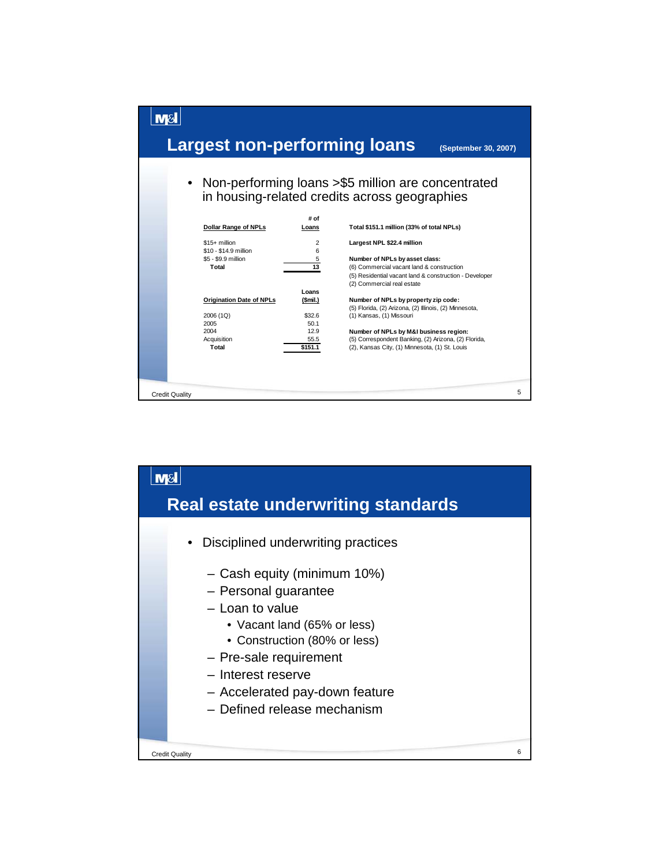

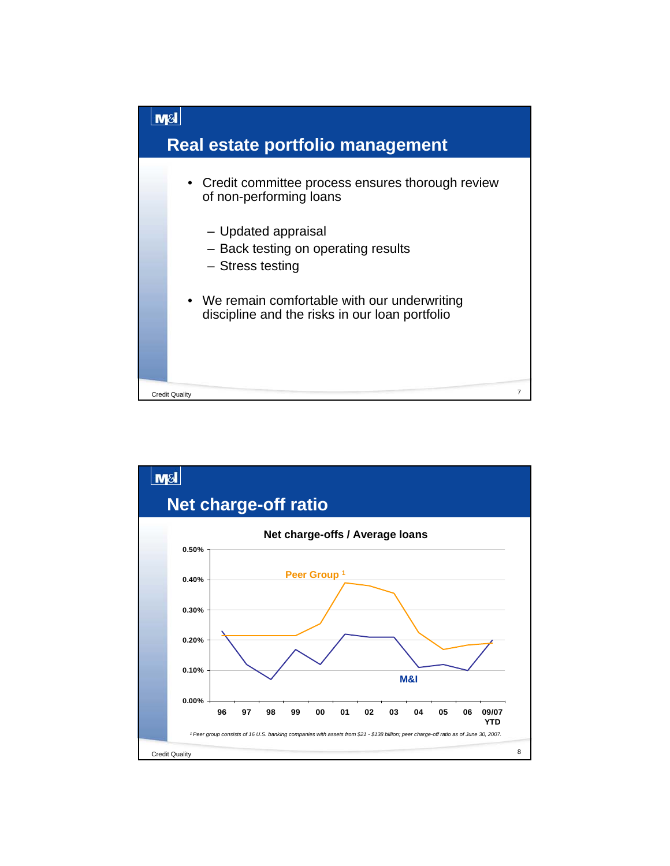

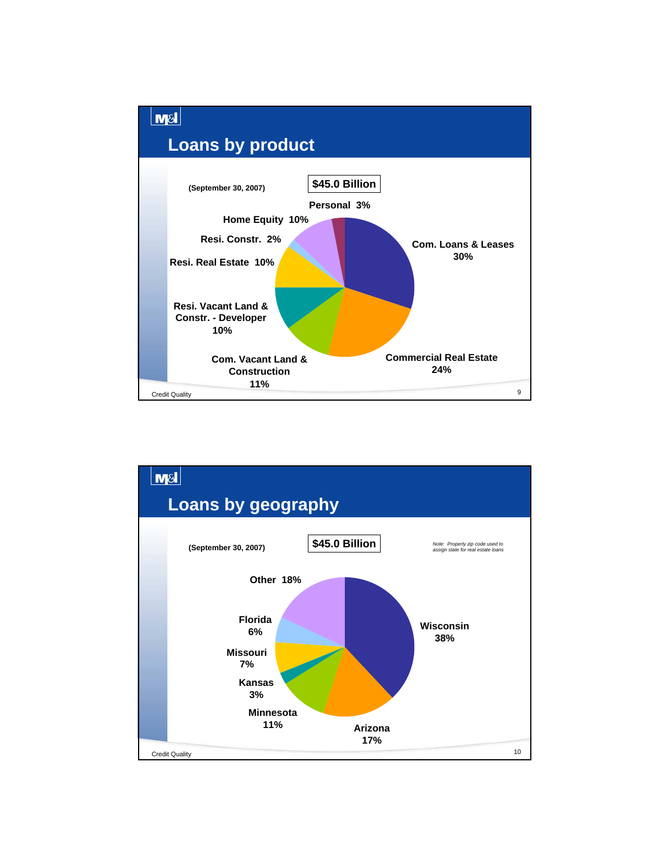

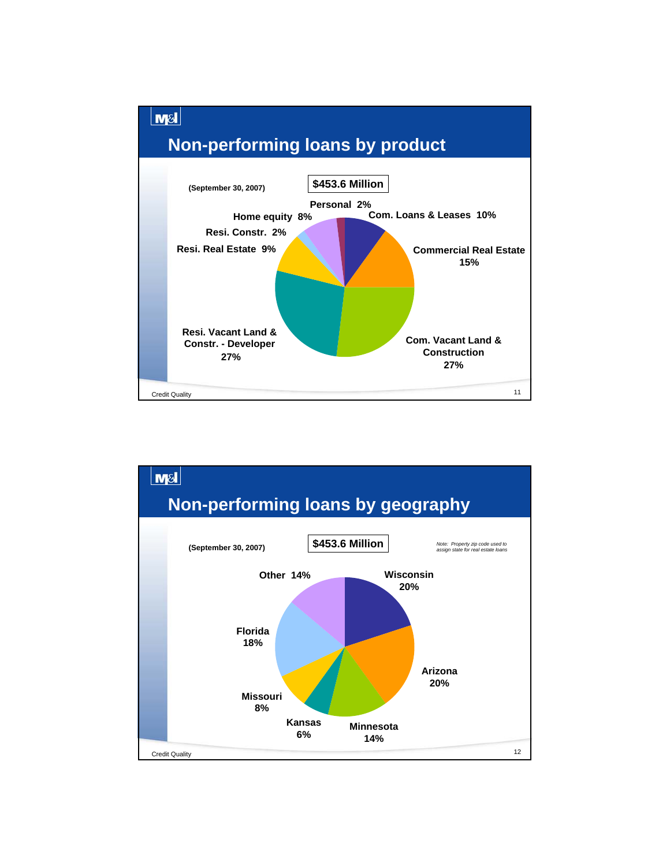